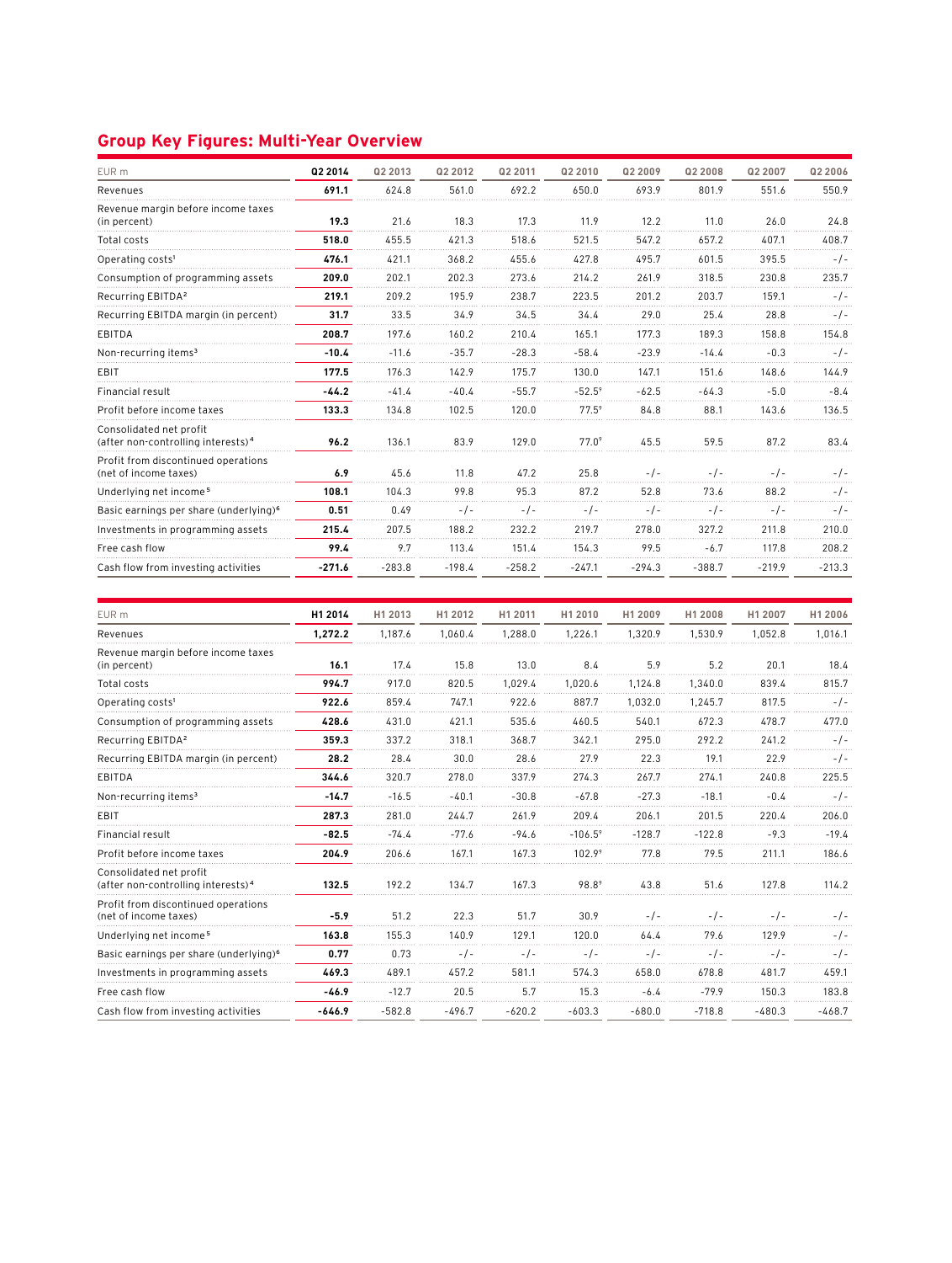## **Group Key Figures: Multi-Year Overview**

| EUR m                                                                     | Q2 2014  | Q2 2013  | Q2 2012  | Q2 2011  | Q2 2010        | Q2 2009  | Q2 2008  | Q2 2007  | Q2 2006  |
|---------------------------------------------------------------------------|----------|----------|----------|----------|----------------|----------|----------|----------|----------|
| Revenues                                                                  | 691.1    | 624.8    | 561.0    | 692.2    | 650.0          | 693.9    | 801.9    | 551.6    | 550.9    |
| Revenue margin before income taxes<br>(in percent)                        | 19.3     | 21.6     | 18.3     | 17.3     | 11.9           | 12.2     | 11.0     | 26.0     | 24.8     |
| Total costs                                                               | 518.0    | 455.5    | 421.3    | 518.6    | 521.5          | 547.2    | 657.2    | 407.1    | 408.7    |
| Operating costs <sup>1</sup>                                              | 476.1    | 421.1    | 368.2    | 455.6    | 427.8          | 495.7    | 601.5    | 395.5    | $-/-$    |
| Consumption of programming assets                                         | 209.0    | 202.1    | 202.3    | 273.6    | 214.2          | 261.9    | 318.5    | 230.8    | 235.7    |
| Recurring EBITDA <sup>2</sup>                                             | 219.1    | 209.2    | 195.9    | 238.7    | 223.5          | 201.2    | 203.7    | 159.1    | - / -    |
| Recurring EBITDA margin (in percent)                                      | 31.7     | 33.5     | 34.9     | 34.5     | 34.4           | 29.0     | 25.4     | 28.8     | $-/-$    |
| EBITDA                                                                    | 208.7    | 197.6    | 160.2    | 210.4    | 165.1          | 177.3    | 189.3    | 158.8    | 154.8    |
| Non-recurring items <sup>3</sup>                                          | $-10.4$  | $-11.6$  | $-35.7$  | $-28.3$  | $-58.4$        | $-23.9$  | $-14.4$  | $-0.3$   | $-1-$    |
| EBIT                                                                      | 177.5    | 176.3    | 142.9    | 175.7    | 130.0          | 147.1    | 151.6    | 148.6    | 144.9    |
| Financial result                                                          | $-44.2$  | $-41.4$  | $-40.4$  | $-55.7$  | $-52.5^9$      | $-62.5$  | $-64.3$  | $-5.0$   | $-8.4$   |
| Profit before income taxes                                                | 133.3    | 134.8    | 102.5    | 120.0    | $77.5^9$       | 84.8     | 88.1     | 143.6    | 136.5    |
| Consolidated net profit<br>(after non-controlling interests) <sup>4</sup> | 96.2     | 136.1    | 83.9     | 129.0    | $77.0^{\circ}$ | 45.5     | 59.5     | 87.2     | 83.4     |
| Profit from discontinued operations<br>(net of income taxes)              | 6.9      | 45.6     | 11.8     | 47.2     | 25.8           | $-1-$    | $-1-$    | $-1-$    | $-1-$    |
| Underlying net income <sup>5</sup>                                        | 108.1    | 104.3    | 99.8     | 95.3     | 87.2           | 52.8     | 73.6     | 88.2     | -/-      |
| Basic earnings per share (underlying) <sup>6</sup>                        | 0.51     | 0.49     | $-1-$    | $-1$ -   |                |          | - / -    | -7-      | $-1-$    |
| Investments in programming assets                                         | 215.4    | 207.5    | 188.2    | 232.2    | 219.7          | 278.0    | 327.2    | 211.8    | 210.0    |
| Free cash flow                                                            | 99.4     | 9.7      | 113.4    | 151.4    | 154.3          | 99.5     | $-6.7$   | 117.8    | 208.2    |
| Cash flow from investing activities                                       | $-271.6$ | $-283.8$ | $-198.4$ | $-258.2$ | $-247.1$       | $-294.3$ | $-388.7$ | $-219.9$ | $-213.3$ |

| EUR m                                                                     | H1 2014  | H1 2013  | H1 2012  | H1 2011  | H1 2010          | H1 2009  | H1 2008  | H1 2007  | H1 2006  |
|---------------------------------------------------------------------------|----------|----------|----------|----------|------------------|----------|----------|----------|----------|
| Revenues                                                                  | 1,272.2  | 1.187.6  | 1,060.4  | 1.288.0  | 1,226.1          | 1,320.9  | 1.530.9  | 1.052.8  | 1,016.1  |
| Revenue margin before income taxes<br>(in percent)                        | 16.1     | 17.4     | 15.8     | 13.0     | 8.4              | 5.9      | 5.2      | 20.1     | 18.4     |
| Total costs                                                               | 994.7    | 917.0    | 820.5    | 1.029.4  | 1.020.6          | 1.124.8  | 1.340.0  | 839.4    | 815.7    |
| Operating costs <sup>1</sup>                                              | 922.6    | 859.4    | 747.1    | 922.6    | 887.7            | 1,032.0  | 1.245.7  | 817.5    | - / -    |
| Consumption of programming assets                                         | 428.6    | 431.0    | 421.1    | 535.6    | 460.5            | 540.1    | 672.3    | 478.7    | 477.0    |
| Recurring EBITDA <sup>2</sup>                                             | 359.3    | 337.2    | 318.1    | 368.7    | 342.1            | 295.0    | 292.2    | 241.2    | - / -    |
| Recurring EBITDA margin (in percent)                                      | 28.2     | 28.4     | 30.0     | 28.6     | 27.9             | 22.3     | 19.1     | 22.9     | - / -    |
| EBITDA                                                                    | 344.6    | 320.7    | 278.0    | 337.9    | 274.3            | 267.7    | 274.1    | 240.8    | 225.5    |
| Non-recurring items <sup>3</sup>                                          | $-14.7$  | $-16.5$  | $-40.1$  | $-30.8$  | $-67.8$          | $-27.3$  | $-18.1$  | $-0.4$   | -1-      |
| EBIT                                                                      | 287.3    | 281.0    | 244.7    | 261.9    | 209.4            | 206.1    | 201.5    | 220.4    | 206.0    |
| Financial result                                                          | $-82.5$  | $-74.4$  | $-77.6$  | $-94.6$  | $-106.5^{\circ}$ | $-128.7$ | $-122.8$ | $-9.3$   | $-19.4$  |
| Profit before income taxes                                                | 204.9    | 206.6    | 167.1    | 167.3    | 102.99           | 77.8     | 79.5     | 211.1    | 186.6    |
| Consolidated net profit<br>(after non-controlling interests) <sup>4</sup> | 132.5    | 192.2    | 134.7    | 167.3    | 98.89            | 43.8     | 51.6     | 127.8    | 114.2    |
| Profit from discontinued operations<br>(net of income taxes)              | $-5.9$   | 51.2     | 22.3     | 51.7     | 30.9             | $-1-$    | $-1-$    | $-1-$    | - / -    |
| Underlying net income <sup>5</sup>                                        | 163.8    | 155.3    | 140.9    | 129.1    | 120.0            | 64.4     | 79.6     | 129.9    | $-1-$    |
| Basic earnings per share (underlying) <sup>6</sup>                        | 0.77     | 0.73     | - / -    | $-1$     | $-1-$            |          | $-1-$    | $-1-$    | - / -    |
| Investments in programming assets                                         | 469.3    | 489.1    | 457.2    | 581.1    | 574.3            | 658.0    | 678.8    | 481.7    | 459.1    |
| Free cash flow                                                            | $-46.9$  | $-12.7$  | 20.5     | 5.7      | 15.3             | $-6.4$   | $-79.9$  | 150.3    | 183.8    |
| Cash flow from investing activities                                       | $-646.9$ | $-582.8$ | $-496.7$ | $-620.2$ | $-603.3$         | $-680.0$ | $-718.8$ | $-480.3$ | $-468.7$ |